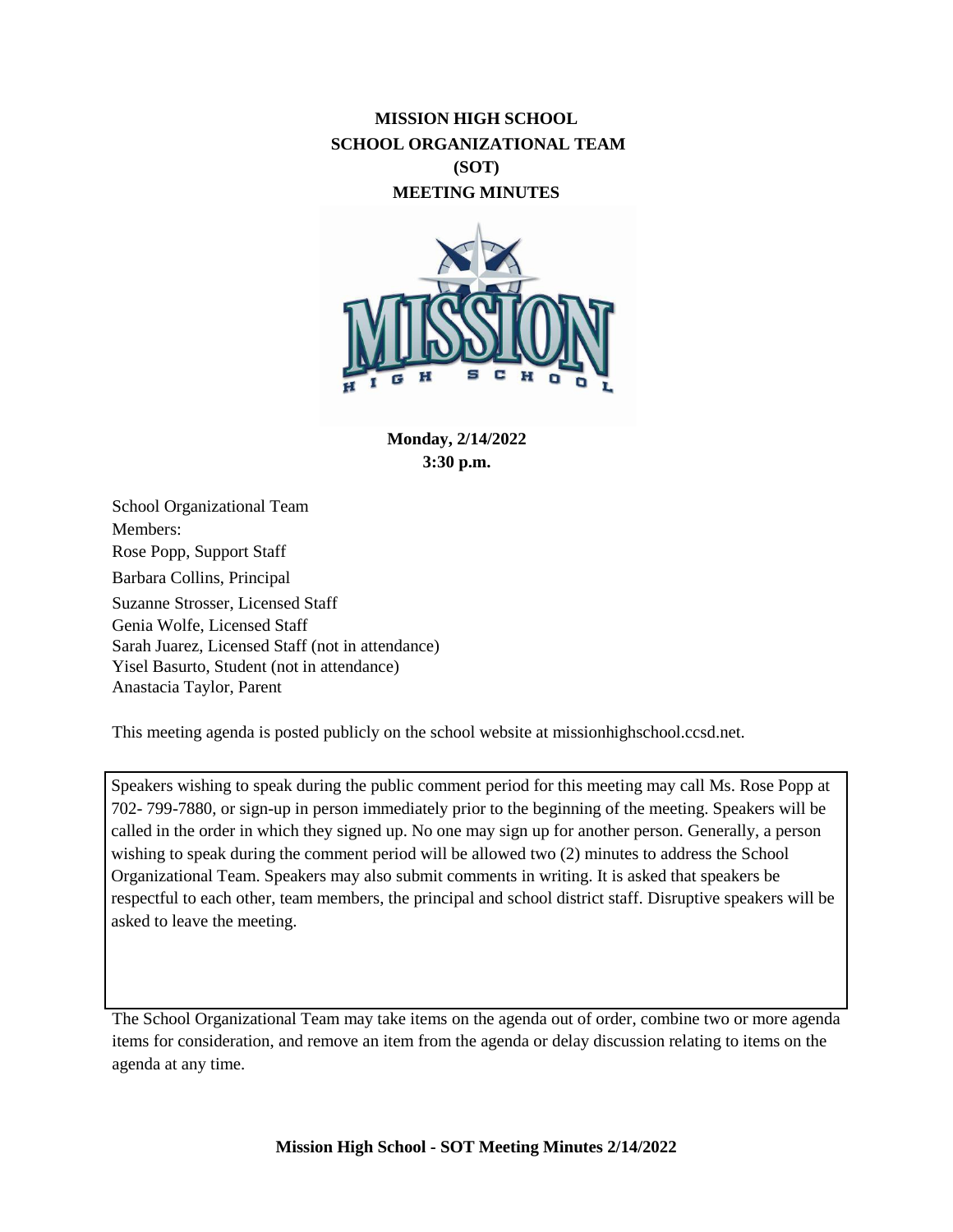# **MISSION HIGH SCHOOL SCHOOL ORGANIZATIONAL TEAM (SOT) MEETING MINUTES**



**Monday, 2/14/2022 3:30 p.m.**

School Organizational Team Members: Rose Popp, Support Staff Barbara Collins, Principal Suzanne Strosser, Licensed Staff Genia Wolfe, Licensed Staff Sarah Juarez, Licensed Staff (not in attendance) Yisel Basurto, Student (not in attendance) Anastacia Taylor, Parent

This meeting agenda is posted publicly on the school website at missionhighschool.ccsd.net.

Speakers wishing to speak during the public comment period for this meeting may call Ms. Rose Popp at 702- 799-7880, or sign-up in person immediately prior to the beginning of the meeting. Speakers will be called in the order in which they signed up. No one may sign up for another person. Generally, a person wishing to speak during the comment period will be allowed two (2) minutes to address the School Organizational Team. Speakers may also submit comments in writing. It is asked that speakers be respectful to each other, team members, the principal and school district staff. Disruptive speakers will be asked to leave the meeting.

The School Organizational Team may take items on the agenda out of order, combine two or more agenda items for consideration, and remove an item from the agenda or delay discussion relating to items on the agenda at any time.

**Mission High School - SOT Meeting Minutes 2/14/2022**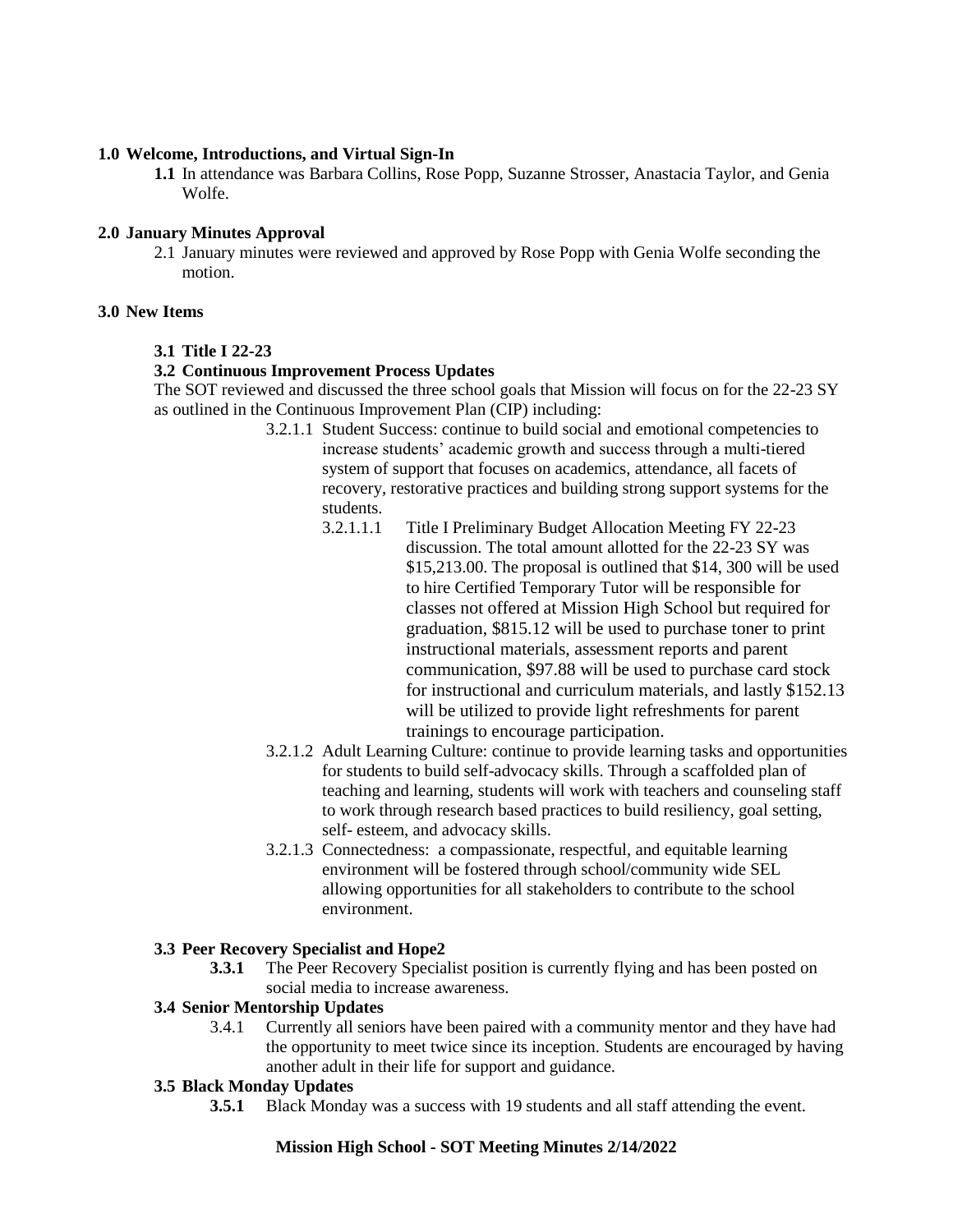## **1.0 Welcome, Introductions, and Virtual Sign-In**

**1.1** In attendance was Barbara Collins, Rose Popp, Suzanne Strosser, Anastacia Taylor, and Genia Wolfe.

### **2.0 January Minutes Approval**

2.1 January minutes were reviewed and approved by Rose Popp with Genia Wolfe seconding the motion.

### **3.0 New Items**

### **3.1 Title I 22-23**

### **3.2 Continuous Improvement Process Updates**

The SOT reviewed and discussed the three school goals that Mission will focus on for the 22-23 SY as outlined in the Continuous Improvement Plan (CIP) including:

- 3.2.1.1 Student Success: continue to build social and emotional competencies to increase students' academic growth and success through a multi-tiered system of support that focuses on academics, attendance, all facets of recovery, restorative practices and building strong support systems for the students.
	- 3.2.1.1.1 Title I Preliminary Budget Allocation Meeting FY 22-23 discussion. The total amount allotted for the 22-23 SY was \$15,213.00. The proposal is outlined that \$14, 300 will be used to hire Certified Temporary Tutor will be responsible for classes not offered at Mission High School but required for graduation, \$815.12 will be used to purchase toner to print instructional materials, assessment reports and parent communication, \$97.88 will be used to purchase card stock for instructional and curriculum materials, and lastly \$152.13 will be utilized to provide light refreshments for parent trainings to encourage participation.
- 3.2.1.2 Adult Learning Culture: continue to provide learning tasks and opportunities for students to build self-advocacy skills. Through a scaffolded plan of teaching and learning, students will work with teachers and counseling staff to work through research based practices to build resiliency, goal setting, self- esteem, and advocacy skills.
- 3.2.1.3 Connectedness: a compassionate, respectful, and equitable learning environment will be fostered through school/community wide SEL allowing opportunities for all stakeholders to contribute to the school environment.

### **3.3 Peer Recovery Specialist and Hope2**

**3.3.1** The Peer Recovery Specialist position is currently flying and has been posted on social media to increase awareness.

#### **3.4 Senior Mentorship Updates**

3.4.1 Currently all seniors have been paired with a community mentor and they have had the opportunity to meet twice since its inception. Students are encouraged by having another adult in their life for support and guidance.

## **3.5 Black Monday Updates**

**3.5.1** Black Monday was a success with 19 students and all staff attending the event.

## **Mission High School - SOT Meeting Minutes 2/14/2022**